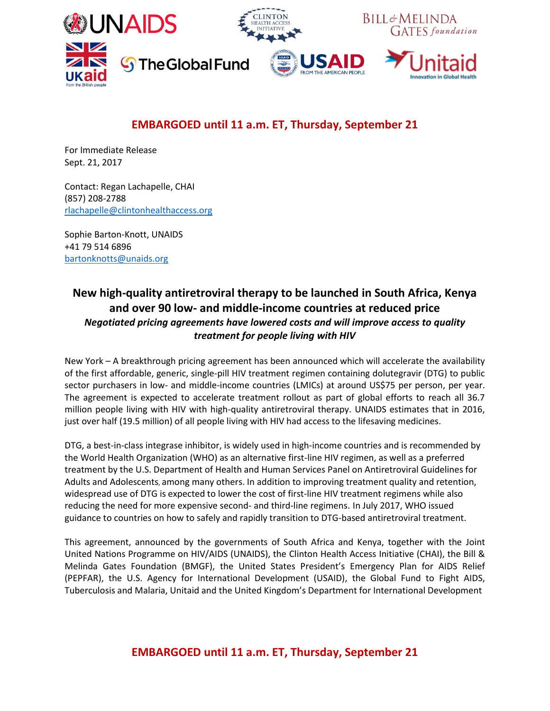

# **EMBARGOED until 11 a.m. ET, Thursday, September 21**

For Immediate Release Sept. 21, 2017

Contact: Regan Lachapelle, CHAI (857) 208-2788 [rlachapelle@clintonhealthaccess.org](mailto:rlachapelle@clintonhealthaccess.org)

Sophie Barton-Knott, UNAIDS +41 79 514 6896 [bartonknotts@unaids.org](mailto:xxx@unaid.org)

## **New high-quality antiretroviral therapy to be launched in South Africa, Kenya and over 90 low- and middle-income countries at reduced price** *Negotiated pricing agreements have lowered costs and will improve access to quality treatment for people living with HIV*

New York – A breakthrough pricing agreement has been announced which will accelerate the availability of the first affordable, generic, single-pill HIV treatment regimen containing dolutegravir (DTG) to public sector purchasers in low- and middle-income countries (LMICs) at around US\$75 per person, per year. The agreement is expected to accelerate treatment rollout as part of global efforts to reach all 36.7 million people living with HIV with high-quality antiretroviral therapy. UNAIDS estimates that in 2016, just over half (19.5 million) of all people living with HIV had access to the lifesaving medicines.

DTG, a best-in-class integrase inhibitor, is widely used in high-income countries and is recommended by the World Health Organization (WHO) as an alternative first-line HIV regimen, as well as a preferred treatment by the U.S. Department of Health and Human Services Panel on Antiretroviral Guidelines for Adults and Adolescents, among many others. In addition to improving treatment quality and retention, widespread use of DTG is expected to lower the cost of first-line HIV treatment regimens while also reducing the need for more expensive second- and third-line regimens. In July 2017, WHO issued guidance to countries on how to safely and rapidly transition to DTG-based antiretroviral treatment.

This agreement, announced by the governments of South Africa and Kenya, together with the Joint United Nations Programme on HIV/AIDS (UNAIDS), the Clinton Health Access Initiative (CHAI), the Bill & Melinda Gates Foundation (BMGF), the United States President's Emergency Plan for AIDS Relief (PEPFAR), the U.S. Agency for International Development (USAID), the Global Fund to Fight AIDS, Tuberculosis and Malaria, Unitaid and the United Kingdom's Department for International Development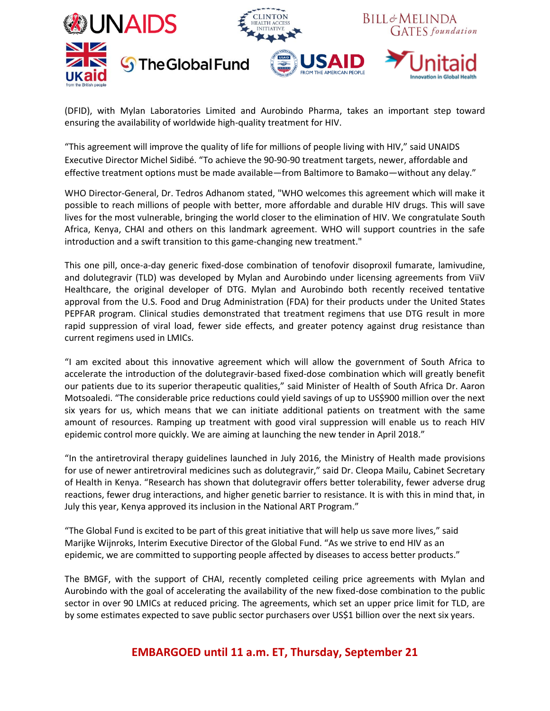

(DFID), with Mylan Laboratories Limited and Aurobindo Pharma, takes an important step toward ensuring the availability of worldwide high-quality treatment for HIV.

"This agreement will improve the quality of life for millions of people living with HIV," said UNAIDS Executive Director Michel Sidibé. "To achieve the 90-90-90 treatment targets, newer, affordable and effective treatment options must be made available—from Baltimore to Bamako—without any delay."

WHO Director-General, Dr. Tedros Adhanom stated, "WHO welcomes this agreement which will make it possible to reach millions of people with better, more affordable and durable HIV drugs. This will save lives for the most vulnerable, bringing the world closer to the elimination of HIV. We congratulate South Africa, Kenya, CHAI and others on this landmark agreement. WHO will support countries in the safe introduction and a swift transition to this game-changing new treatment."

This one pill, once-a-day generic fixed-dose combination of tenofovir disoproxil fumarate, lamivudine, and dolutegravir (TLD) was developed by Mylan and Aurobindo under licensing agreements from ViiV Healthcare, the original developer of DTG. Mylan and Aurobindo both recently received tentative approval from the U.S. Food and Drug Administration (FDA) for their products under the United States PEPFAR program. Clinical studies demonstrated that treatment regimens that use DTG result in more rapid suppression of viral load, fewer side effects, and greater potency against drug resistance than current regimens used in LMICs.

"I am excited about this innovative agreement which will allow the government of South Africa to accelerate the introduction of the dolutegravir-based fixed-dose combination which will greatly benefit our patients due to its superior therapeutic qualities," said Minister of Health of South Africa Dr. Aaron Motsoaledi. "The considerable price reductions could yield savings of up to US\$900 million over the next six years for us, which means that we can initiate additional patients on treatment with the same amount of resources. Ramping up treatment with good viral suppression will enable us to reach HIV epidemic control more quickly. We are aiming at launching the new tender in April 2018."

"In the antiretroviral therapy guidelines launched in July 2016, the Ministry of Health made provisions for use of newer antiretroviral medicines such as dolutegravir," said Dr. Cleopa Mailu, Cabinet Secretary of Health in Kenya. "Research has shown that dolutegravir offers better tolerability, fewer adverse drug reactions, fewer drug interactions, and higher genetic barrier to resistance. It is with this in mind that, in July this year, Kenya approved its inclusion in the National ART Program."

"The Global Fund is excited to be part of this great initiative that will help us save more lives," said Marijke Wijnroks, Interim Executive Director of the Global Fund. "As we strive to end HIV as an epidemic, we are committed to supporting people affected by diseases to access better products."

The BMGF, with the support of CHAI, recently completed ceiling price agreements with Mylan and Aurobindo with the goal of accelerating the availability of the new fixed-dose combination to the public sector in over 90 LMICs at reduced pricing. The agreements, which set an upper price limit for TLD, are by some estimates expected to save public sector purchasers over US\$1 billion over the next six years.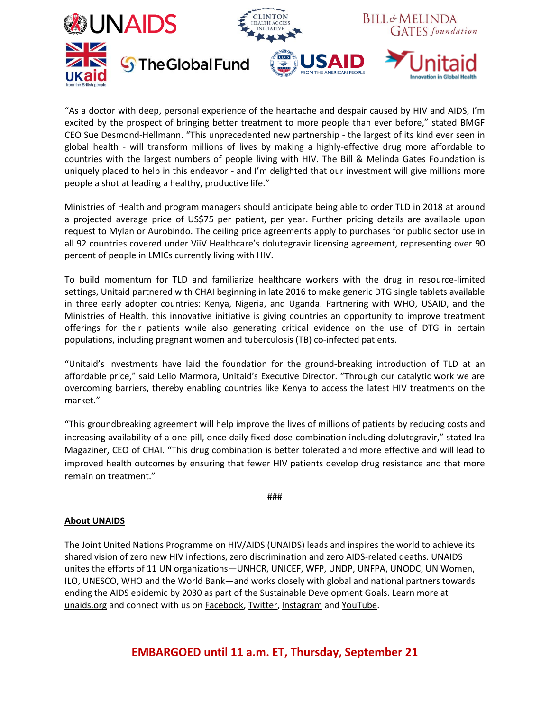

"As a doctor with deep, personal experience of the heartache and despair caused by HIV and AIDS, I'm excited by the prospect of bringing better treatment to more people than ever before," stated BMGF CEO Sue Desmond-Hellmann. "This unprecedented new partnership - the largest of its kind ever seen in global health - will transform millions of lives by making a highly-effective drug more affordable to countries with the largest numbers of people living with HIV. The Bill & Melinda Gates Foundation is uniquely placed to help in this endeavor - and I'm delighted that our investment will give millions more people a shot at leading a healthy, productive life."

Ministries of Health and program managers should anticipate being able to order TLD in 2018 at around a projected average price of US\$75 per patient, per year. Further pricing details are available upon request to Mylan or Aurobindo. The ceiling price agreements apply to purchases for public sector use in all 92 countries covered under ViiV Healthcare's dolutegravir licensing agreement, representing over 90 percent of people in LMICs currently living with HIV.

To build momentum for TLD and familiarize healthcare workers with the drug in resource-limited settings, Unitaid partnered with CHAI beginning in late 2016 to make generic DTG single tablets available in three early adopter countries: Kenya, Nigeria, and Uganda. Partnering with WHO, USAID, and the Ministries of Health, this innovative initiative is giving countries an opportunity to improve treatment offerings for their patients while also generating critical evidence on the use of DTG in certain populations, including pregnant women and tuberculosis (TB) co-infected patients.

"Unitaid's investments have laid the foundation for the ground-breaking introduction of TLD at an affordable price," said Lelio Marmora, Unitaid's Executive Director. "Through our catalytic work we are overcoming barriers, thereby enabling countries like Kenya to access the latest HIV treatments on the market."

"This groundbreaking agreement will help improve the lives of millions of patients by reducing costs and increasing availability of a one pill, once daily fixed-dose-combination including dolutegravir," stated Ira Magaziner, CEO of CHAI. "This drug combination is better tolerated and more effective and will lead to improved health outcomes by ensuring that fewer HIV patients develop drug resistance and that more remain on treatment."

###

### **About UNAIDS**

The Joint United Nations Programme on HIV/AIDS (UNAIDS) leads and inspires the world to achieve its shared vision of zero new HIV infections, zero discrimination and zero AIDS-related deaths. UNAIDS unites the efforts of 11 UN organizations—UNHCR, UNICEF, WFP, UNDP, UNFPA, UNODC, UN Women, ILO, UNESCO, WHO and the World Bank—and works closely with global and national partners towards ending the AIDS epidemic by 2030 as part of the Sustainable Development Goals. Learn more at [unaids.org](http://www.unaids.org/) and connect with us on [Facebook,](http://www.facebook.com/UNAIDS) [Twitter,](http://twitter.com/#!/UNAIDS) [Instagram](http://instagram.com/unaidsglobal) an[d YouTube.](https://www.youtube.com/user/UNAIDS)